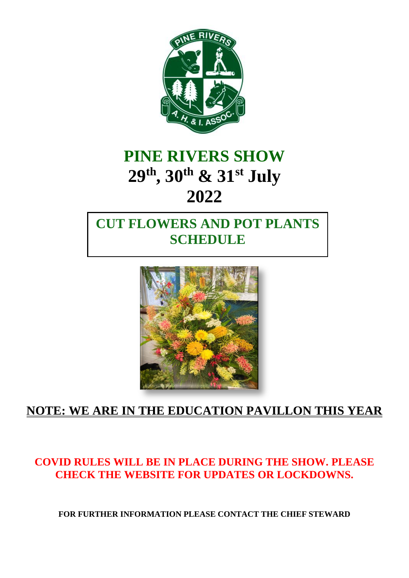

# **PINE RIVERS SHOW 29th , 30th & 31st July 2022**

## **CUT FLOWERS AND POT PLANTS SCHEDULE**



## **NOTE: WE ARE IN THE EDUCATION PAVILLON THIS YEAR**

#### **COVID RULES WILL BE IN PLACE DURING THE SHOW. PLEASE CHECK THE WEBSITE FOR UPDATES OR LOCKDOWNS.**

**FOR FURTHER INFORMATION PLEASE CONTACT THE CHIEF STEWARD**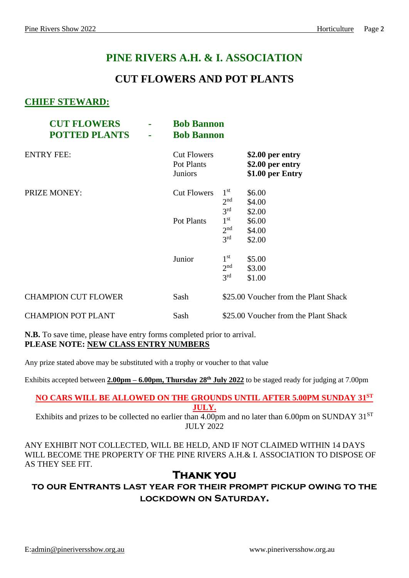### **PINE RIVERS A.H. & I. ASSOCIATION**

#### **CUT FLOWERS AND POT PLANTS**

#### **CHIEF STEWARD:**

| <b>CUT FLOWERS</b><br><b>POTTED PLANTS</b> | ÷ | <b>Bob Bannon</b><br><b>Bob Bannon</b>             |                                                       |                                                          |
|--------------------------------------------|---|----------------------------------------------------|-------------------------------------------------------|----------------------------------------------------------|
| <b>ENTRY FEE:</b>                          |   | <b>Cut Flowers</b><br>Pot Plants<br><b>Juniors</b> |                                                       | \$2.00 per entry<br>\$2.00 per entry<br>\$1.00 per Entry |
| <b>PRIZE MONEY:</b>                        |   | <b>Cut Flowers</b>                                 | 1 <sup>st</sup><br>2 <sup>nd</sup><br>3 <sup>rd</sup> | \$6.00<br>\$4.00<br>\$2.00                               |
|                                            |   | Pot Plants                                         | $1^{\rm st}$<br>2 <sup>nd</sup><br>3 <sup>rd</sup>    | \$6.00<br>\$4.00<br>\$2.00                               |
|                                            |   | Junior                                             | $1^{\rm st}$<br>2 <sup>nd</sup><br>3 <sup>rd</sup>    | \$5.00<br>\$3.00<br>\$1.00                               |
| <b>CHAMPION CUT FLOWER</b>                 |   | Sash                                               |                                                       | \$25.00 Voucher from the Plant Shack                     |
| <b>CHAMPION POT PLANT</b>                  |   | Sash                                               |                                                       | \$25.00 Voucher from the Plant Shack                     |

**N.B.** To save time, please have entry forms completed prior to arrival. **PLEASE NOTE: NEW CLASS ENTRY NUMBERS**

Any prize stated above may be substituted with a trophy or voucher to that value

Exhibits accepted between **2.00pm – 6.00pm, Thursday 28 th July 2022** to be staged ready for judging at 7.00pm

#### **NO CARS WILL BE ALLOWED ON THE GROUNDS UNTIL AFTER 5.00PM SUNDAY 31 ST JULY.**

Exhibits and prizes to be collected no earlier than  $4.00$ pm and no later than 6.00pm on SUNDAY 31<sup>ST</sup> JULY 2022

ANY EXHIBIT NOT COLLECTED, WILL BE HELD, AND IF NOT CLAIMED WITHIN 14 DAYS WILL BECOME THE PROPERTY OF THE PINE RIVERS A.H.& I. ASSOCIATION TO DISPOSE OF AS THEY SEE FIT.

#### **Thank you**

**to our Entrants last year for their prompt pickup owing to the lockdown on Saturday.**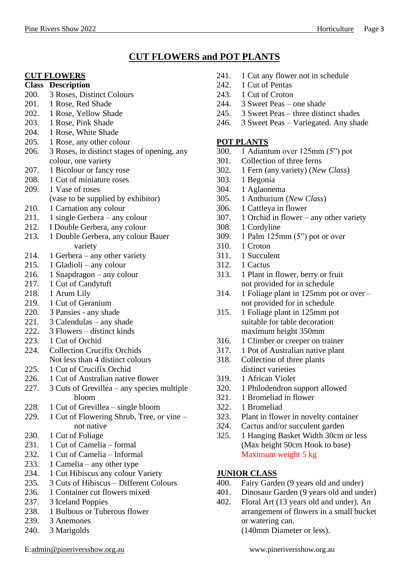#### **CUT FLOWERS and POT PLANTS**

#### **CUT FLOWERS**

#### **Class Description**

- 200. 3 Roses, Distinct Colours
- 201. 1 Rose, Red Shade
- 202. 1 Rose, Yellow Shade
- 203. 1 Rose, Pink Shade
- 204. 1 Rose, White Shade
- 205. 1 Rose, any other colour
- 206. 3 Roses, in distinct stages of opening, any colour, one variety
- 207. 1 Bicolour or fancy rose
- 208. 1 Cut of miniature roses
- 209. 1 Vase of roses
	- (vase to be supplied by exhibitor)
- 210. 1 Carnation any colour
- 211. 1 single Gerbera any colour
- 212. I Double Gerbera, any colour
- 213. 1 Double Gerbera, any colour Bauer variety
- 214. 1 Gerbera any other variety
- 215. 1 Gladioli any colour
- 216. 1 Snapdragon any colour
- 217. 1 Cut of Candytuft
- 218. 1 Arum Lily
- 219. 1 Cut of Geranium
- 220. 3 Pansies any shade
- 221. 3 Calendulas any shade
- 222. 3 Flowers distinct kinds
- 223. 1 Cut of Orchid
- 224. Collection Crucifix Orchids Not less than 4 distinct colours
- 225. 1 Cut of Crucifix Orchid
- 226. 1 Cut of Australian native flower
- 227. 3 Cuts of Grevillea any species multiple bloom
- 228. 1 Cut of Grevillea single bloom
- 229. 1 Cut of Flowering Shrub, Tree, or vine not native
- 230. 1 Cut of Foliage
- 231. 1 Cut of Camelia formal
- 232. 1 Cut of Camelia Informal
- 233. 1 Camelia any other type
- 234. 1 Cut Hibiscus any colour Variety
- 235. 3 Cuts of Hibiscus Different Colours
- 236. 1 Container cut flowers mixed
- 237. 3 Iceland Poppies
- 238. 1 Bulbous or Tuberous flower
- 239. 3 Anemones
- 240. 3 Marigolds
- 241. 1 Cut any flower not in schedule
- 242. 1 Cut of Pentas
- 243. 1 Cut of Croton
- 244. 3 Sweet Peas one shade
- 245. 3 Sweet Peas three distinct shades
- 246. 3 Sweet Peas Variegated. Any shade

#### **POT PLANTS**

- 300. 1 Adiantum over 125mm (5") pot
- 301. Collection of three ferns
- 302. 1 Fern (any variety) (*New Class*)
- 303. 1 Begonia
- 304. 1 Aglaonema
- 305. 1 Anthurium (*New Class*)
- 306. 1 Cattleya in flower
- 307. 1 Orchid in flower any other variety
- 308. 1 Cordyline
- 309. 1 Palm 125mm (5") pot or over
- 310. 1 Croton
- 311. 1 Succulent
- 312. 1 Cactus
- 313. 1 Plant in flower, berry or fruit not provided for in schedule
- 314. 1 Foliage plant in 125mm pot or over not provided for in schedule
- 315. 1 Foliage plant in 125mm pot suitable for table decoration maximum height 350mm
- 316. 1 Climber or creeper on trainer
- 317. 1 Pot of Australian native plant
- 318. Collection of three plants distinct varieties
- 319. 1 African Violet
- 320. 1 Philodendron support allowed
- 321. 1 Bromeliad in flower
- 322. 1 Bromeliad
- 323. Plant in flower in novelty container
- 324. Cactus and/or succulent garden
- 325. 1 Hanging Basket Width 30cm or less (Max height 50cm Hook to base) Maximum weight 5 kg

#### **JUNIOR CLASS**

- 400. Fairy Garden (9 years old and under)
- 401. Dinosaur Garden (9 years old and under)
- 402. Floral Art (13 years old and under). An arrangement of flowers in a small bucket or watering can.

(140mm Diameter or less).